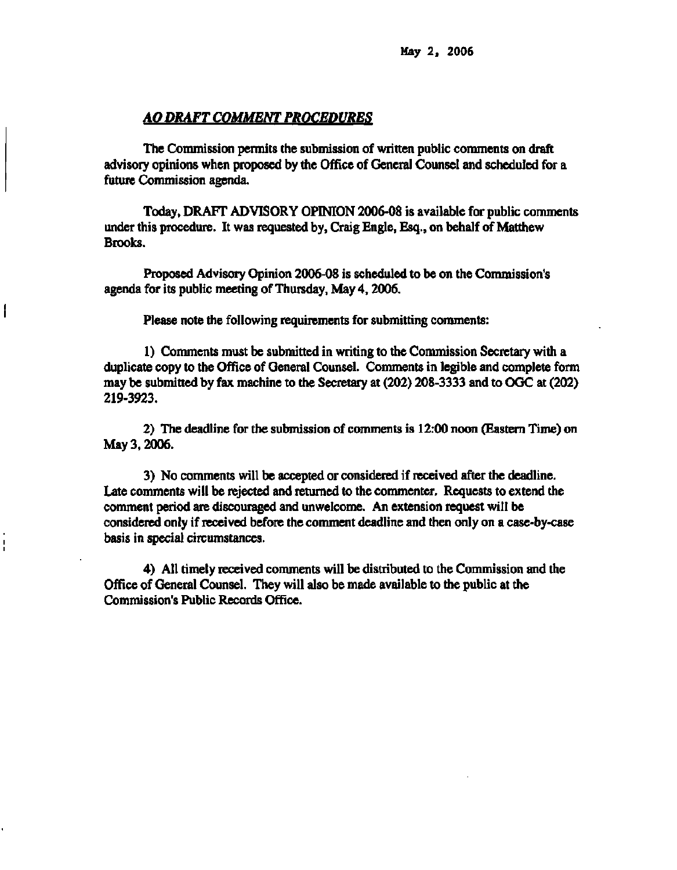**May 2, 2006** 

## *AO DRAFT COMMENT PROCEDURES*

**The Commission permits the submission of written public comments on draft advisory opinions when proposed by the Office of General Counsel and scheduled for a future Commission agenda.** 

**Today, DRAFT ADVISORY OPINION 2006-08 is available for public comments under this procedure. It was requested by, Craig Engle, Esq., on behalf of Matthew Brooks.** 

**Proposed Advisory Opinion 2006-08 is scheduled to be on the Commission's agenda for its public meeting of Thursday, May 4,2006.** 

**Please note the following requirements for submitting comments:** 

**1) Comments must be submitted in writing to the Commission Secretary with a duplicate copy to the Office of General Counsel. Comments in legible and complete form may be submitted by fax machine to the Secretary at (202) 208-3333 and to OGC at (202) 219-3923.** 

**2) The deadline for the submission of comments is 12:00 noon (Eastern Time) on May 3,2006.** 

**3) No comments will be accepted or considered if received after the deadline. Late comments will be rejected and returned to the commenter. Requests to extend the comment period are discouraged and unwelcome. An extension request will be considered only if received before the comment deadline and then only on a case-by-case basis in special circumstances.** 

**4) All timely received comments will be distributed to the Commission and the Office of General Counsel. They will also be made available to the public at the Commission's Public Records Office.**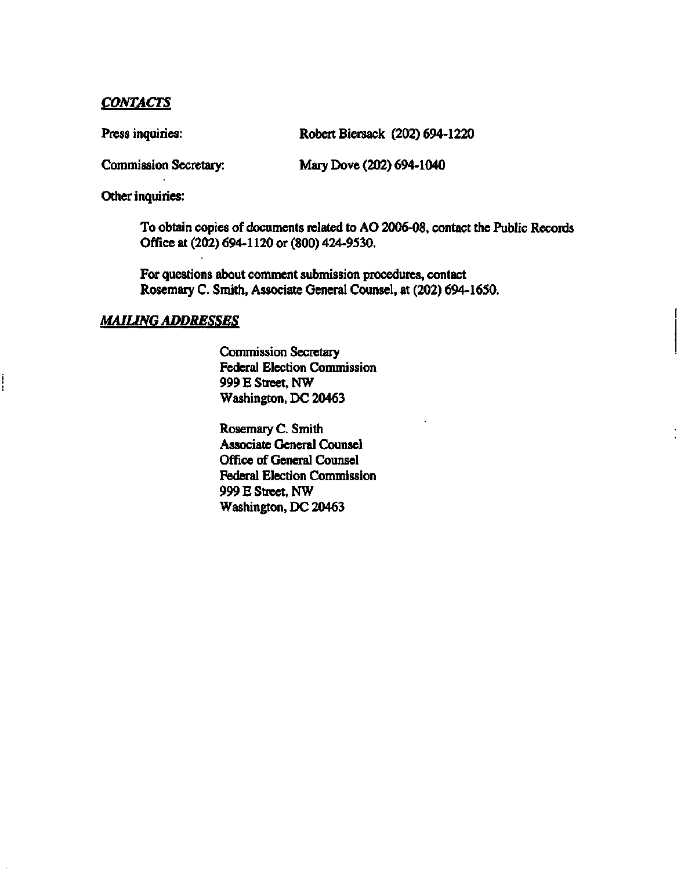# *CONTACTS*

Press inquiries: Robert Biersack (202) 694-1220

**Commission Secretary: Mary Dove (202) 694-1040** 

**Other inquiries:** 

ļ

**To obtain copies of documents related to AO 2006-08, contact the Public Records Office at (202) 694-1120 or (800) 424-9530.** 

**For questions about comment submission procedures, contact Rosemary C. Smith, Associate General Counsel, at (202) 694-1650.** 

## *MAILING ADDRESSES*

**Commission Secretary Federal Election Commission 999 E Street, NW Washington, DC 20463** 

**Rosemary C. Smith Associate General Counsel Office of General Counsel Federal Election Commission 999 E Street, NW Washington, DC 20463**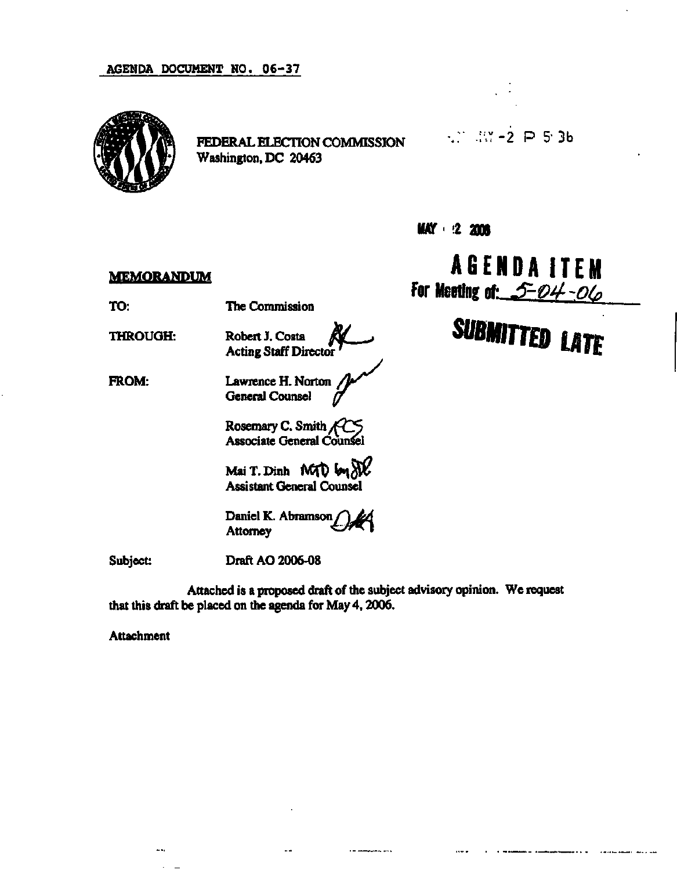

**FEDERAL ELECTION COMMISSION Washington, DC 20463** 

**.;; :V -2 P 5- 3b** 

**MAY 2 2006** 

## **MEMORANDUM**

**TO: The Commission** 

**THROUGH:** 

**Robert J. Costa** *§jd \_^*  **Acting Staff Director***'* 

**FROM:**  Lawrence H. Norton / **General Counsel** *(7* 

> **Rosemary C. Smith** */&2S*  **Associate General Counsel**

**Mai T. Dinh Assistant General Counsel** 

Daniel K. Abramson Attorney

**Subject:** 

**Draft AO 2006-08** 

**Attached is a proposed draft of the subject advisory opinion. We request that this draft be placed on the agenda for May 4,2006.** 

a la salampignati provi

**Attachment** 

 $\ddotsc$ 

**AGENDA ITEM**  For Meeting of: 5-04-06

**SUBMITTED LATE** 

. . . .

 $\ddotsc$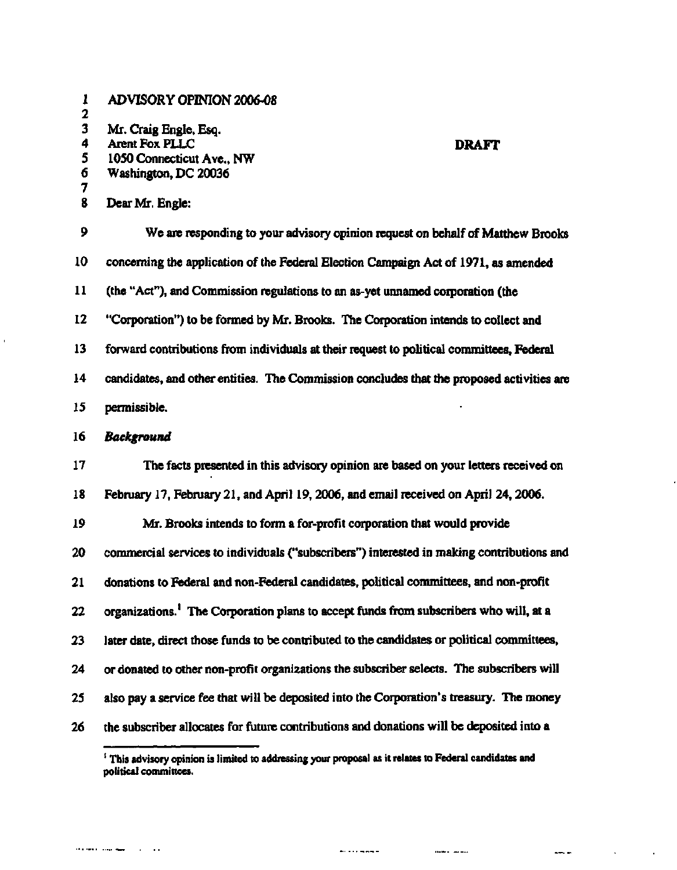| 1<br>2 | <b>ADVISORY OPINION 2006-08</b>                                                                   |
|--------|---------------------------------------------------------------------------------------------------|
| 3      | Mr. Craig Engle, Esq.                                                                             |
| 4      | <b>Arent Fox PLLC</b><br><b>DRAFT</b>                                                             |
| 5      | 1050 Connecticut Ave., NW                                                                         |
| 6<br>7 | Washington, DC 20036                                                                              |
| 8      | Dear Mr. Engle:                                                                                   |
| 9      | We are responding to your advisory opinion request on behalf of Matthew Brooks                    |
| 10     | concerning the application of the Federal Election Campaign Act of 1971, as amended               |
| 11     | (the "Act"), and Commission regulations to an as-yet unnamed corporation (the                     |
| 12     | "Corporation") to be formed by Mr. Brooks. The Corporation intends to collect and                 |
| 13     | forward contributions from individuals at their request to political committees, Federal          |
| 14     | candidates, and other entities. The Commission concludes that the proposed activities are         |
| 15     | permissible.                                                                                      |
| 16     | Background                                                                                        |
| 17     | The facts presented in this advisory opinion are based on your letters received on                |
| 18     | February 17, February 21, and April 19, 2006, and email received on April 24, 2006.               |
| 19     | Mr. Brooks intends to form a for-profit corporation that would provide                            |
| 20     | commercial services to individuals ("subscribers") interested in making contributions and         |
| 21     | donations to Federal and non-Federal candidates, political committees, and non-profit             |
| 22     | organizations. <sup>1</sup> The Corporation plans to accept funds from subscribers who will, at a |
| 23     | later date, direct those funds to be contributed to the candidates or political committees.       |
| 24     | or donated to other non-profit organizations the subscriber selects. The subscribers will         |
| 25     | also pay a service fee that will be deposited into the Corporation's treasury. The money          |
| 26     | the subscriber allocates for future contributions and donations will be deposited into a          |

 $\hat{\mathbf{r}}$ 

and the company of the control

accompanies and the main

 $\frac{1}{2}$ 

 $\sim 10^{-10}$ 

 $\sim$   $\sim$ 

<sup>&</sup>lt;sup>1</sup> This advisory opinion is limited to addressing your proposal as it relates to Federal candidates and **political committees.**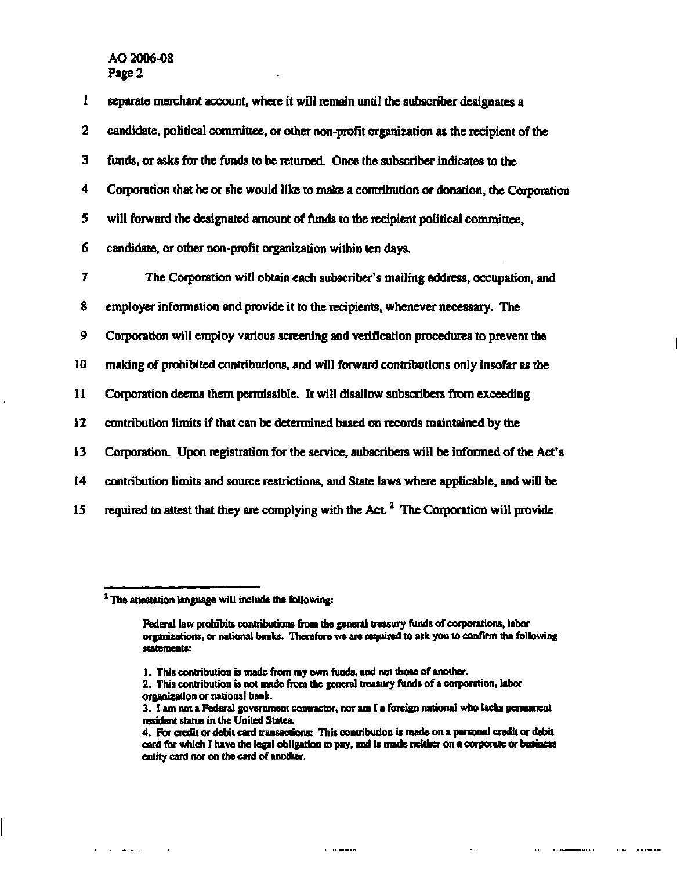| 1                       | separate merchant account, where it will remain until the subscriber designates a                  |
|-------------------------|----------------------------------------------------------------------------------------------------|
| $\overline{\mathbf{2}}$ | candidate, political committee, or other non-profit organization as the recipient of the           |
| 3                       | funds, or asks for the funds to be returned. Once the subscriber indicates to the                  |
| 4                       | Corporation that he or she would like to make a contribution or donation, the Corporation          |
| 5                       | will forward the designated amount of funds to the recipient political committee,                  |
| 6                       | candidate, or other non-profit organization within ten days.                                       |
| 7                       | The Corporation will obtain each subscriber's mailing address, occupation, and                     |
| 8                       | employer information and provide it to the recipients, whenever necessary. The                     |
| 9                       | Corporation will employ various screening and verification procedures to prevent the               |
| 10                      | making of prohibited contributions, and will forward contributions only insofar as the             |
| 11                      | Corporation deems them permissible. It will disallow subscribers from exceeding                    |
| 12                      | contribution limits if that can be determined based on records maintained by the                   |
| 13                      | Corporation. Upon registration for the service, subscribers will be informed of the Act's          |
| 14                      | contribution limits and source restrictions, and State laws where applicable, and will be          |
| 15                      | required to attest that they are complying with the Act. <sup>2</sup> The Corporation will provide |

 $\mathbf{r} = \mathbf{r} + \mathbf{r}$  and  $\mathbf{r}$ 

 $\ddot{\phantom{a}}$ 

 $\ddotsc$ 

 $\mathbf{r}$  ,  $\mathbf{r}$  ,  $\mathbf{r}$ 

. . . .

 $\mathbf{r}$  is a second second second fraction of  $\mathbf{r}$ 

**The attestation language will include the following:** 

**Federal law prohibits contributions from the general treasury funds of corporations, labor organizations, or national banks. Therefore we are required to ask you to confirm the following statements:** 

**<sup>1.</sup> This contribution is made from my own funds, and not those of another.** 

**<sup>2.</sup> This contribution is not made from the general treasury funds of a corporation, labor organization or national bank.** 

**<sup>3.</sup> I am not a Federal government contractor, nor am I a foreign national who lacks permanent resident status in the United States.** 

**<sup>4.</sup> For credit or debit card transactions: This contribution is made on a personal credit or debit card for which I have the legal obligation to pay, and is made neither on a corporate or business entity card nor on the card of another.**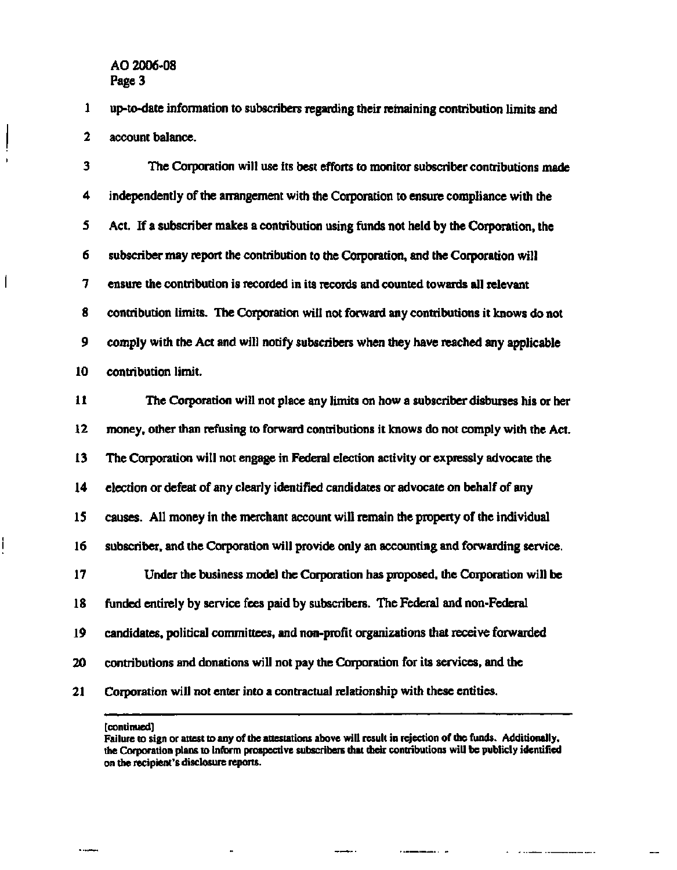$\mathsf{l}$ 

**1 up-to-date information to subscribers regarding their remaining contribution limits and 2 account balance.** 

**3 The Corporation will use its best efforts to monitor subscriber contributions made 4 independently of the arrangement with the Corporation to ensure compliance with the 5 Act. If a subscriber makes a contribution using funds not held by the Corporation, the 6 subscriber may report the contribution to the Corporation, and the Corporation will 7 ensure the contribution is recorded in its records and counted towards all relevant 8 contribution limits. The Corporation will not forward any contributions it knows do not 9 comply with the Act and will notify subscribers when they have reached any applicable 10 contribution limit.** 

**11 The Corporation will not place any limits on how a subscriber disburses his or her 12 money, other than refusing to forward contributions it knows do not comply with the Act. 13 The Corporation will not engage in Federal election activity or expressly advocate the 14 election or defeat of any clearly identified candidates or advocate on behalf of any 15 causes. All money in the merchant account will remain the property of the individual 16 subscriber, and the Corporation will provide only an accounting and forwarding service. 17 Under the business model the Corporation has proposed, the Corporation will be 18 funded entirely by service fees paid by subscribers. The Federal and non-Federal 19 candidates, political committees, and non-profit organizations that receive forwarded 20 contributions and donations will not pay the Corporation for its services, and the 21 Corporation will not enter into a contractual relationship with these entities.** 

**[continued]** 

 $\overline{a}$   $\overline{a}$ 

**Failure to sign or attest to any of the attestations above will result in rejection of the funds. Additionally, the Corporation plans to inform prospective subscribers that their contributions will be publicly identified on the recipient's disclosure reports.**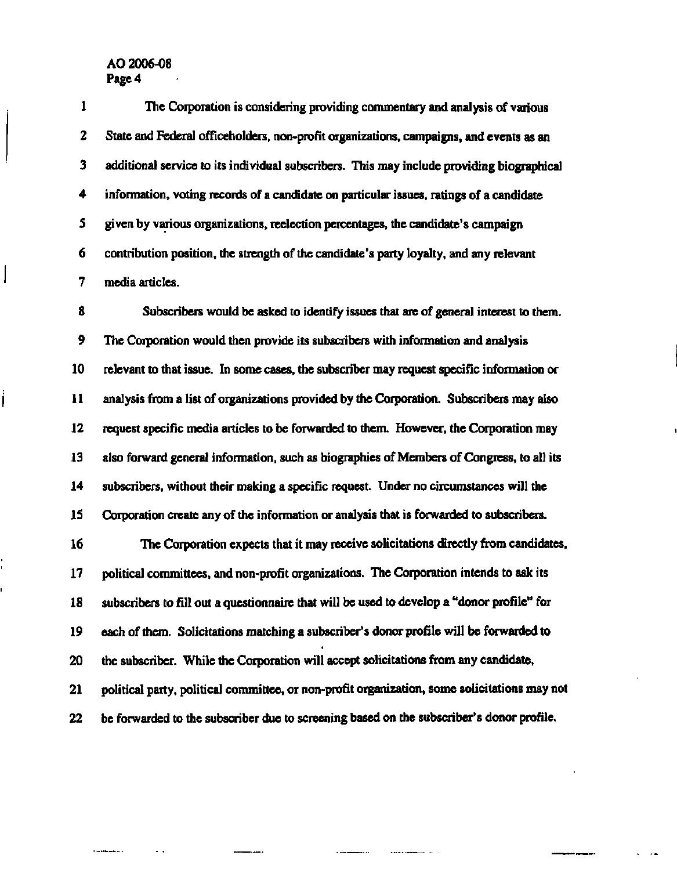**1 The Corporation is considering providing commentary and analysis of various 2 State and Federal officeholders, non-profit organizations, campaigns, and events as an 3 additional service to its individual subscribers. This may include providing biographical 4 information, voting records of a candidate on particular issues, ratings of a candidate 5 given by various organizations, reelection percentages, the candidate's campaign 6 contribution position, the strength of the candidate's party loyalty, and any relevant 7 media articles.** 

**8 Subscribers would be asked to identify issues that are of general interest to them. 9 The Corporation would then provide its subscribers with information and analysis 10 relevant to that issue. In some cases, the subscriber may request specific information or 11 analysis from a list of organizations provided by the Corporation. Subscribers may also 12 request specific media articles to be forwarded to them. However, the Corporation may 13 also forward general information, such as biographies of Members of Congress, to all its 14 subscribers, without their making a specific request. Under no circumstances will the 15 Corporation create any of the information or analysis that is forwarded to subscribers.** 

**16 The Corporation expects that it may receive solicitations directly from candidates, 17 political committees, and non-profit organizations. The Corporation intends to ask its 18 subscribers to fill out a questionnaire that will be used to develop a "donor profile" for 19 each of them. Solicitations matching a subscriber's donor profile will be forwarded to 20 the subscriber. While the Corporation will accept solicitations from any candidate, 21 political party, political committee, or non-profit organization, some solicitations may not 22 be forwarded to the subscriber due to screening based on the subscriber's donor profile.** 

 $\overline{a}$ 

 $\overline{a}$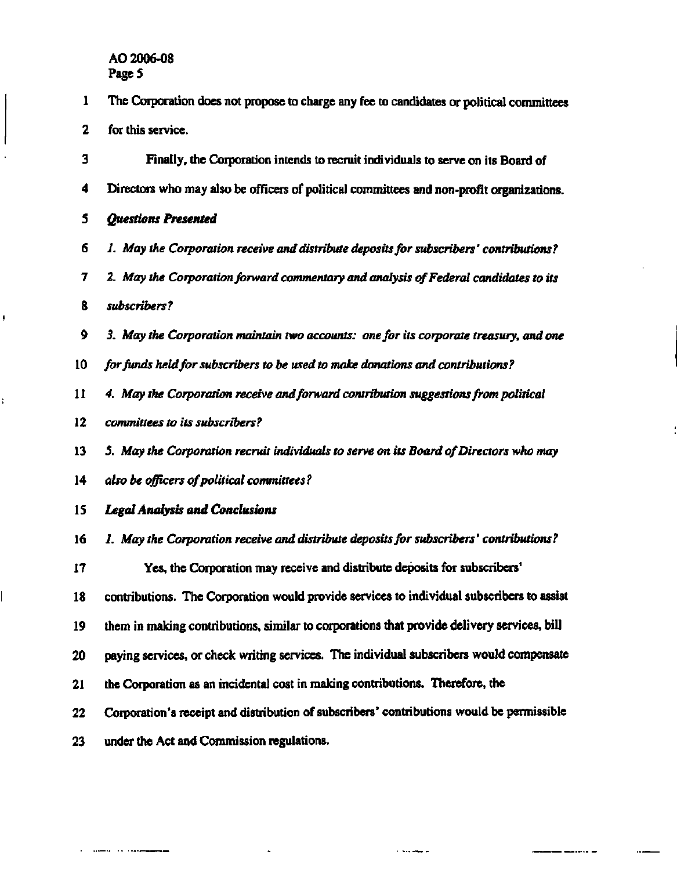- **1 The Corporation does not propose to charge any fee to candidates or political committees**
- **2 for this service.**

**3 Finally, the Corporation intends to recruit individuals to serve on its Board of 4 Directors who may also be officers of political committees and non-profit organizations. 5** *Questions Presented* 

- 6 *1. May the Corporation receive and distribute deposits for subscribers' contributions?*
- 7 2. *May the Corporation forward commentary and analysis of Federal candidates to its*
- 8 *subscribers?*

ŧ

- 9 *3. May the Corporation maintain two accounts: one for its corporate treasury, and one*
- 10 *for funds held for subscribers to be used to make donations and contributions?*
- 11 *4. May the Corporation receive and forward contribution suggestions from political*
- 12 *committees to its subscribers ?*
- 13 *5. May the Corporation recruit individuals to serve on its Board of Directors who may*
- 14 *also be officers of political committees ?*
- 15 *Legal Analysis and Conclusions*
- **16** *1. May the Corporation receive and distribute deposits for subscribers' contributions?*
- **17 Yes, the Corporation may receive and distribute deposits for subscribers'**
- **18 contributions. The Corporation would provide services to individual subscribers to assist**
- **19 them in making contributions, similar to corporations that provide delivery services, bill**
- **20 paying services, or check writing services. The individual subscribers would compensate**
- **21 the Corporation as an incidental cost in making contributions. Therefore, the**
- **22 Corporation's receipt and distribution of subscribers' contributions would be permissible**

للربيعة لرداء

**23 under the Act and Commission regulations.** 

 $1.1 - 1.1 - 1.1 - 1.1 - 1.1$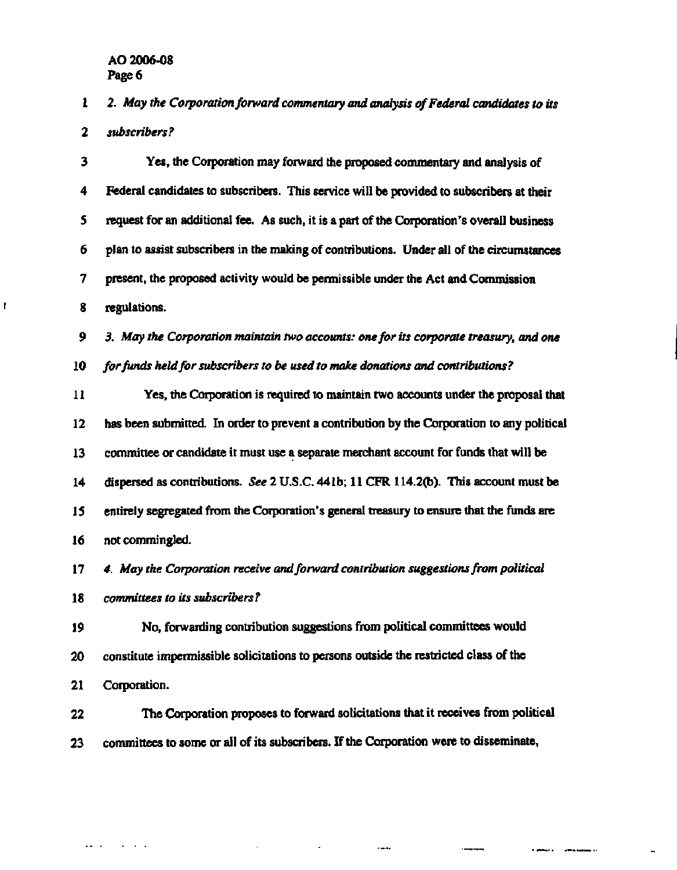$\mathbf{r}$ 

**1 2.** *May the Corporation forward commentary and analysis of Federal candidates to its 2 subscribers?* 

**3 Yes, the Corporation may forward the proposed commentary and analysis of 4 Federal candidates to subscribers. This service will be provided to subscribers at their 5 request for an additional fee. As such, it is a part of the Corporation's overall business 6 plan to assist subscribers in the making of contributions. Under all of the circumstances 7 present, the proposed activity would be permissible under the Act and Commission 8 regulations.** 

**9** *3. May the Corporation maintain two accounts: one for its corporate treasury, and one*  **10** *for funds held for subscribers to be used to make donations and contributions ?* 

**11 Yes, the Corporation is required to maintain two accounts under the proposal that 12 has been submitted. In order to prevent a contribution by the Corporation to any political 13 committee or candidate it must use a separate merchant account for funds that will be 14 dispersed as contributions.** *See 2* **U.S.C. 441b; 11 CFR 114.2(b). This account must be 15 entirely segregated from the Corporation's general treasury to ensure that the funds are 16 not commingled.** 

**17** *4. May the Corporation receive and forward contribution suggestions from political* 

**18** *committees to its subscribers?* 

 $\mathbf{r} = \mathbf{r}$  , and  $\mathbf{r} = \mathbf{r}$ 

**19 No, forwarding contribution suggestions from political committees would 20 constitute impermissible solicitations to persons outside the restricted class of the 21 Corporation.** 

**22 The Corporation proposes to forward solicitations that it receives from political 23 committees to some or all of its subscribers. If the Corporation were to disseminate,** 

**Communication of the American**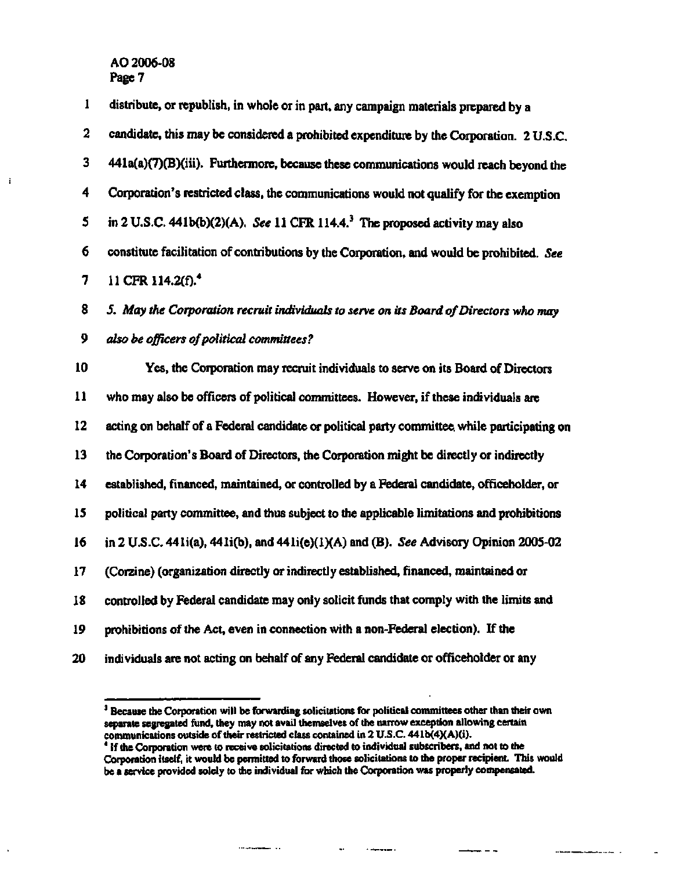$\mathbf{i}$ 

| 1  | distribute, or republish, in whole or in part, any campaign materials prepared by a         |
|----|---------------------------------------------------------------------------------------------|
| 2  | candidate, this may be considered a prohibited expenditure by the Corporation. 2 U.S.C.     |
| 3  | 441a(a)(7)(B)(iii). Furthermore, because these communications would reach beyond the        |
| 4  | Corporation's restricted class, the communications would not qualify for the exemption      |
| 5  | in 2 U.S.C. 441b(b)(2)(A). See 11 CFR 114.4. <sup>3</sup> The proposed activity may also    |
| 6  | constitute facilitation of contributions by the Corporation, and would be prohibited. See   |
| 7  | 11 CFR 114.2(f). <sup>4</sup>                                                               |
| 8  | 5. May the Corporation recruit individuals to serve on its Board of Directors who may       |
| 9  | also be officers of political committees?                                                   |
| 10 | Yes, the Corporation may recruit individuals to serve on its Board of Directors             |
| 11 | who may also be officers of political committees. However, if these individuals are         |
| 12 | acting on behalf of a Federal candidate or political party committee while participating on |
| 13 | the Corporation's Board of Directors, the Corporation might be directly or indirectly       |
| 14 | established, financed, maintained, or controlled by a Federal candidate, officeholder, or   |
| 15 | political party committee, and thus subject to the applicable limitations and prohibitions  |
| 16 | in 2 U.S.C. 441i(a), 441i(b), and 441i(e)(1)(A) and (B). See Advisory Opinion 2005-02       |
| 17 | (Corzine) (organization directly or indirectly established, financed, maintained or         |
| 18 | controlled by Federal candidate may only solicit funds that comply with the limits and      |
| 19 | prohibitions of the Act, even in connection with a non-Federal election). If the            |
| 20 | individuals are not acting on behalf of any Federal candidate or officeholder or any        |
|    |                                                                                             |

<sup>&</sup>lt;sup>3</sup> Because the Corporation will be forwarding solicitations for political committees other than their own **separate segregated fund, they may not avail themselves of the narrow exception allowing certain communications outside of their restricted class contained in 2 U.S.C. 441b(4)(A)(i). 4 If the Corporation were to receive solicitations directed to individual subscribers, and not to the** 

 $\sim$ 

*Constitution Company* 

 $-1$ 

 $\frac{1}{2}$ 

÷ ÷

**Corporation itself, it would be permitted to forward those solicitations to the proper recipient. This would be a service provided solely to the individual for which the Corporation was properly compensated.**